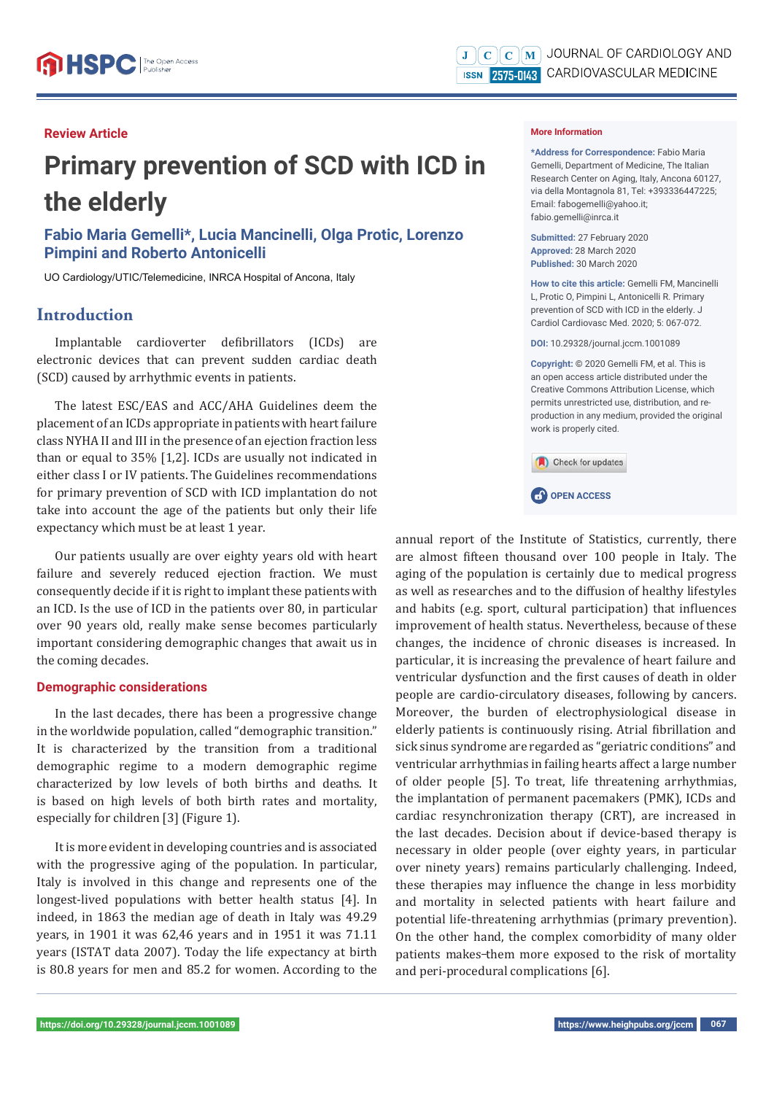## **Review Article**

# **Primary prevention of SCD with ICD in the elderly**

**Fabio Maria Gemelli\*, Lucia Mancinelli, Olga Protic, Lorenzo Pimpini and Roberto Antonicelli**

UO Cardiology/UTIC/Telemedicine, INRCA Hospital of Ancona, Italy

# **Introduction**

Implantable cardioverter defibrillators (ICDs) are electronic devices that can prevent sudden cardiac death (SCD) caused by arrhythmic events in patients.

The latest ESC/EAS and ACC/AHA Guidelines deem the placement of an ICDs appropriate in patients with heart failure class NYHA II and III in the presence of an ejection fraction less than or equal to 35% [1,2]. ICDs are usually not indicated in either class I or IV patients. The Guidelines recommendations for primary prevention of SCD with ICD implantation do not take into account the age of the patients but only their life expectancy which must be at least 1 year.

Our patients usually are over eighty years old with heart failure and severely reduced ejection fraction. We must consequently decide if it is right to implant these patients with an ICD. Is the use of ICD in the patients over 80, in particular over 90 years old, really make sense becomes particularly important considering demographic changes that await us in the coming decades.

#### **Demographic considerations**

In the last decades, there has been a progressive change in the worldwide population, called "demographic transition." It is characterized by the transition from a traditional demographic regime to a modern demographic regime characterized by low levels of both births and deaths. It is based on high levels of both birth rates and mortality, especially for children [3] (Figure 1).

It is more evident in developing countries and is associated with the progressive aging of the population. In particular, Italy is involved in this change and represents one of the longest-lived populations with better health status [4]. In indeed, in 1863 the median age of death in Italy was 49.29 years, in 1901 it was 62,46 years and in 1951 it was 71.11 years (ISTAT data 2007). Today the life expectancy at birth is 80.8 years for men and 85.2 for women. According to the

#### **More Information**

**\*Address for Correspondence:** Fabio Maria Gemelli, Department of Medicine, The Italian Research Center on Aging, Italy, Ancona 60127, via della Montagnola 81, Tel: +393336447225; Email: fabogemelli@yahoo.it; fabio.gemelli@inrca.it

**Submitted:** 27 February 2020 **Approved:** 28 March 2020 **Published:** 30 March 2020

**How to cite this article:** Gemelli FM, Mancinelli L, Protic O, Pimpini L, Antonicelli R, Primary prevention of SCD with ICD in the elderly. J Cardiol Cardiovasc Med. 2020; 5: 067-072.

**DOI:** 10.29328/journal.jccm.1001089

**Copyright: ©** 2020 Gemelli FM, et al. This is an open access article distributed under the Creative Commons Attribution License, which permits unrestricted use, distribution, and reproduction in any medium, provided the original work is properly cited.



**CP** OPEN ACCESS

annual report of the Institute of Statistics, currently, there are almost fifteen thousand over 100 people in Italy. The aging of the population is certainly due to medical progress as well as researches and to the diffusion of healthy lifestyles and habits (e.g. sport, cultural participation) that influences improvement of health status. Nevertheless, because of these changes, the incidence of chronic diseases is increased. In particular, it is increasing the prevalence of heart failure and ventricular dysfunction and the first causes of death in older people are cardio-circulatory diseases, following by cancers. Moreover, the burden of electrophysiological disease in elderly patients is continuously rising. Atrial fibrillation and sick sinus syndrome are regarded as "geriatric conditions" and ventricular arrhythmias in failing hearts affect a large number of older people [5]. To treat, life threatening arrhythmias, the implantation of permanent pacemakers (PMK), ICDs and cardiac resynchronization therapy (CRT), are increased in the last decades. Decision about if device-based therapy is necessary in older people (over eighty years, in particular over ninety years) remains particularly challenging. Indeed, these therapies may influence the change in less morbidity and mortality in selected patients with heart failure and potential life-threatening arrhythmias (primary prevention). On the other hand, the complex comorbidity of many older patients makes-them more exposed to the risk of mortality and peri-procedural complications [6].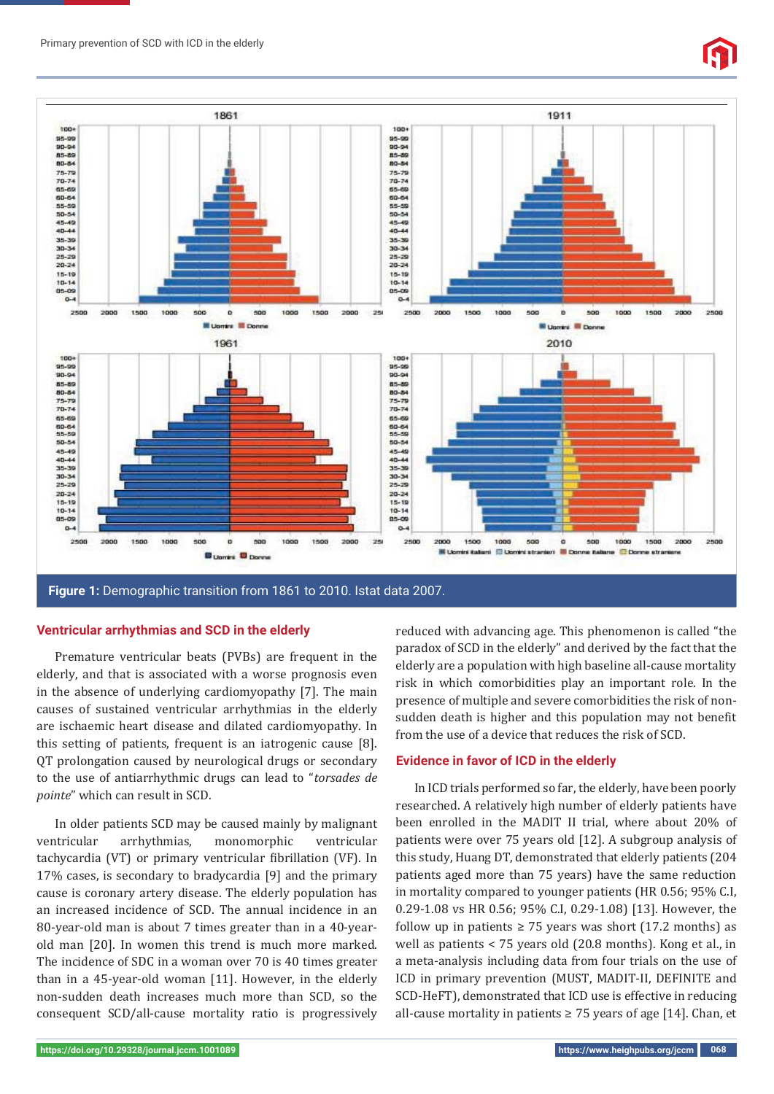

**Figure 1:** Demographic transition from 1861 to 2010. Istat data 2007.

#### **Ventricular arrhythmias and SCD in the elderly**

Premature ventricular beats (PVBs) are frequent in the elderly, and that is associated with a worse prognosis even in the absence of underlying cardiomyopathy [7]. The main causes of sustained ventricular arrhythmias in the elderly are ischaemic heart disease and dilated cardiomyopathy. In this setting of patients, frequent is an iatrogenic cause [8]. QT prolongation caused by neurological drugs or secondary to the use of antiarrhythmic drugs can lead to "*torsades de pointe*" which can result in SCD.

In older patients SCD may be caused mainly by malignant ventricular arrhythmias, monomorphic ventricular tachycardia (VT) or primary ventricular fibrillation (VF). In 17% cases, is secondary to bradycardia [9] and the primary cause is coronary artery disease. The elderly population has an increased incidence of SCD. The annual incidence in an 80-year-old man is about 7 times greater than in a 40-yearold man [20]. In women this trend is much more marked. The incidence of SDC in a woman over 70 is 40 times greater than in a 45-year-old woman [11]. However, in the elderly non-sudden death increases much more than SCD, so the consequent SCD/all-cause mortality ratio is progressively reduced with advancing age. This phenomenon is called "the paradox of SCD in the elderly" and derived by the fact that the elderly are a population with high baseline all-cause mortality risk in which comorbidities play an important role. In the presence of multiple and severe comorbidities the risk of nonsudden death is higher and this population may not benefit from the use of a device that reduces the risk of SCD.

#### **Evidence in favor of ICD in the elderly**

In ICD trials performed so far, the elderly, have been poorly researched. A relatively high number of elderly patients have been enrolled in the MADIT II trial, where about 20% of patients were over 75 years old [12]. A subgroup analysis of this study, Huang DT, demonstrated that elderly patients (204 patients aged more than 75 years) have the same reduction in mortality compared to younger patients (HR 0.56; 95% C.I, 0.29-1.08 vs HR 0.56; 95% C.I, 0.29-1.08) [13]. However, the follow up in patients  $\geq$  75 years was short (17.2 months) as well as patients < 75 years old (20.8 months). Kong et al., in a meta-analysis including data from four trials on the use of ICD in primary prevention (MUST, MADIT-II, DEFINITE and SCD-HeFT), demonstrated that ICD use is effective in reducing all-cause mortality in patients  $\geq$  75 years of age [14]. Chan, et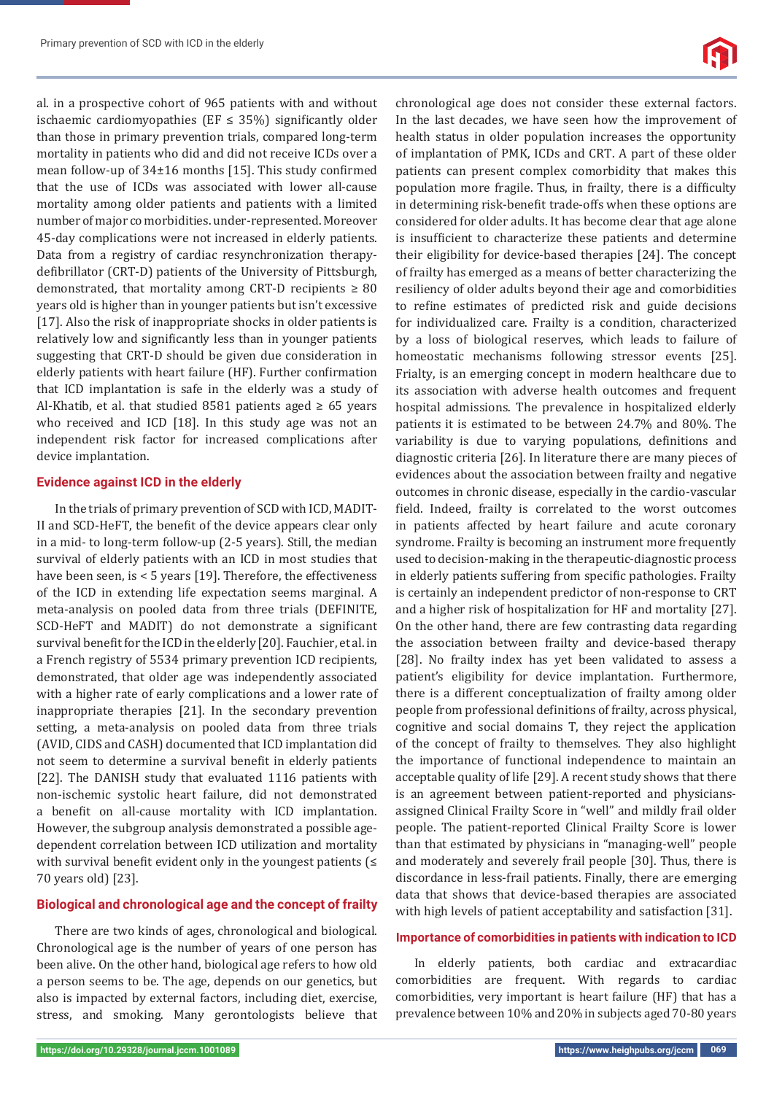al. in a prospective cohort of 965 patients with and without ischaemic cardiomyopathies (EF  $\leq$  35%) significantly older than those in primary prevention trials, compared long-term mortality in patients who did and did not receive ICDs over a mean follow-up of  $34\pm16$  months [15]. This study confirmed that the use of ICDs was associated with lower all-cause mortality among older patients and patients with a limited number of major co morbidities. under-represented. Moreover 45-day complications were not increased in elderly patients. Data from a registry of cardiac resynchronization therapydefibrillator (CRT-D) patients of the University of Pittsburgh, demonstrated, that mortality among CRT-D recipients  $\geq 80$ years old is higher than in younger patients but isn't excessive [17]. Also the risk of inappropriate shocks in older patients is relatively low and significantly less than in younger patients suggesting that CRT-D should be given due consideration in elderly patients with heart failure (HF). Further confirmation that ICD implantation is safe in the elderly was a study of Al-Khatib, et al. that studied 8581 patients aged  $\geq 65$  years who received and ICD [18]. In this study age was not an independent risk factor for increased complications after device implantation.

### **Evidence against ICD in the elderly**

In the trials of primary prevention of SCD with ICD, MADIT-II and SCD-HeFT, the benefit of the device appears clear only in a mid- to long-term follow-up (2-5 years). Still, the median survival of elderly patients with an ICD in most studies that have been seen, is < 5 years [19]. Therefore, the effectiveness of the ICD in extending life expectation seems marginal. A meta-analysis on pooled data from three trials (DEFINITE, SCD-HeFT and MADIT) do not demonstrate a significant survival benefit for the ICD in the elderly [20]. Fauchier, et al. in a French registry of 5534 primary prevention ICD recipients, demonstrated, that older age was independently associated with a higher rate of early complications and a lower rate of inappropriate therapies [21]. In the secondary prevention setting, a meta-analysis on pooled data from three trials (AVID, CIDS and CASH) documented that ICD implantation did not seem to determine a survival benefit in elderly patients [22]. The DANISH study that evaluated 1116 patients with non-ischemic systolic heart failure, did not demonstrated a benefit on all-cause mortality with ICD implantation. However, the subgroup analysis demonstrated a possible agedependent correlation between ICD utilization and mortality with survival benefit evident only in the youngest patients  $\leq$ 70 years old) [23].

## **Biological and chronological age and the concept of frailty**

There are two kinds of ages, chronological and biological. Chronological age is the number of years of one person has been alive. On the other hand, biological age refers to how old a person seems to be. The age, depends on our genetics, but also is impacted by external factors, including diet, exercise, stress, and smoking. Many gerontologists believe that

chronological age does not consider these external factors. In the last decades, we have seen how the improvement of health status in older population increases the opportunity of implantation of PMK, ICDs and CRT. A part of these older patients can present complex comorbidity that makes this population more fragile. Thus, in frailty, there is a difficulty in determining risk-benefit trade-offs when these options are considered for older adults. It has become clear that age alone is insufficient to characterize these patients and determine their eligibility for device-based therapies [24]. The concept of frailty has emerged as a means of better characterizing the resiliency of older adults beyond their age and comorbidities to refine estimates of predicted risk and guide decisions for individualized care. Frailty is a condition, characterized by a loss of biological reserves, which leads to failure of homeostatic mechanisms following stressor events [25]. Frialty, is an emerging concept in modern healthcare due to its association with adverse health outcomes and frequent hospital admissions. The prevalence in hospitalized elderly patients it is estimated to be between 24.7% and 80%. The variability is due to varying populations, definitions and diagnostic criteria [26]. In literature there are many pieces of evidences about the association between frailty and negative outcomes in chronic disease, especially in the cardio-vascular field. Indeed, frailty is correlated to the worst outcomes in patients affected by heart failure and acute coronary syndrome. Frailty is becoming an instrument more frequently used to decision-making in the therapeutic-diagnostic process in elderly patients suffering from specific pathologies. Frailty is certainly an independent predictor of non-response to CRT and a higher risk of hospitalization for HF and mortality [27]. On the other hand, there are few contrasting data regarding the association between frailty and device-based therapy [28]. No frailty index has yet been validated to assess a patient's eligibility for device implantation. Furthermore, there is a different conceptualization of frailty among older people from professional definitions of frailty, across physical, cognitive and social domains T, they reject the application of the concept of frailty to themselves. They also highlight the importance of functional independence to maintain an acceptable quality of life [29]. A recent study shows that there is an agreement between patient-reported and physiciansassigned Clinical Frailty Score in "well" and mildly frail older people. The patient-reported Clinical Frailty Score is lower than that estimated by physicians in "managing-well" people and moderately and severely frail people [30]. Thus, there is discordance in less-frail patients. Finally, there are emerging data that shows that device-based therapies are associated with high levels of patient acceptability and satisfaction [31].

#### **Importance of comorbidities in patients with indication to ICD**

In elderly patients, both cardiac and extracardiac comorbidities are frequent. With regards to cardiac comorbidities, very important is heart failure (HF) that has a prevalence between 10% and 20% in subjects aged 70-80 years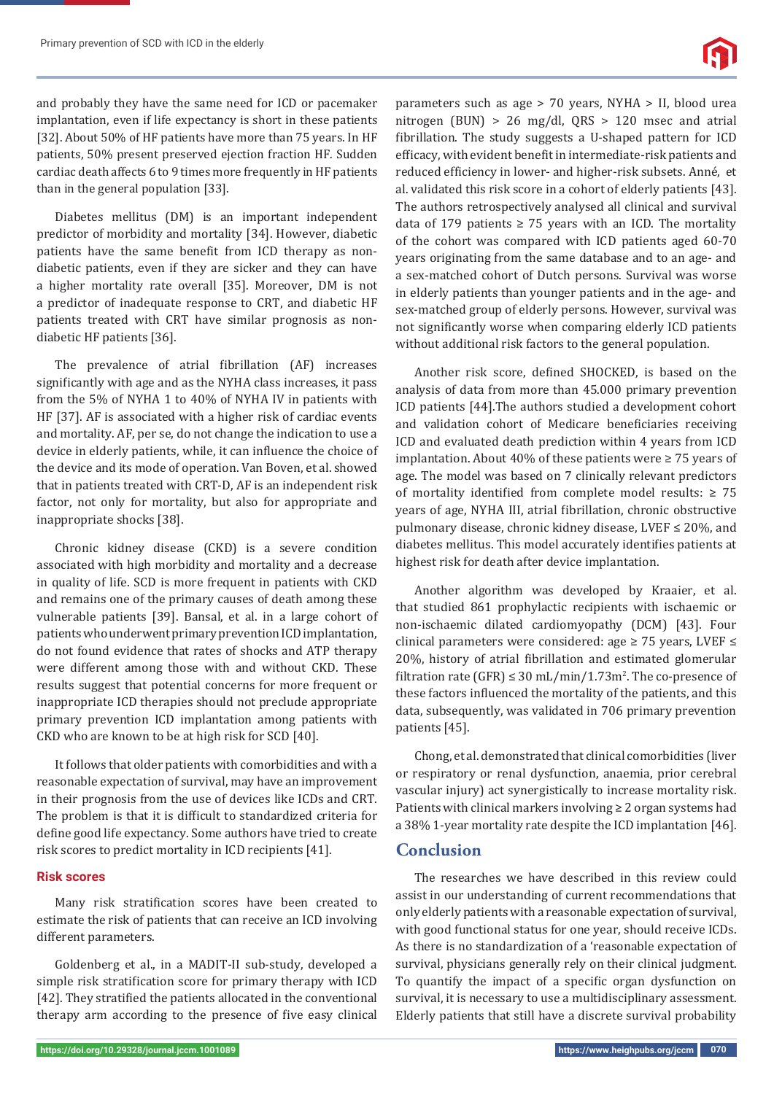and probably they have the same need for ICD or pacemaker implantation, even if life expectancy is short in these patients [32]. About 50% of HF patients have more than 75 years. In HF patients, 50% present preserved ejection fraction HF. Sudden cardiac death affects 6 to 9 times more frequently in HF patients than in the general population [33].

Diabetes mellitus (DM) is an important independent predictor of morbidity and mortality [34]. However, diabetic patients have the same benefit from ICD therapy as nondiabetic patients, even if they are sicker and they can have a higher mortality rate overall [35]. Moreover, DM is not a predictor of inadequate response to CRT, and diabetic HF patients treated with CRT have similar prognosis as nondiabetic HF patients [36].

The prevalence of atrial fibrillation (AF) increases significantly with age and as the NYHA class increases, it pass from the 5% of NYHA 1 to 40% of NYHA IV in patients with HF [37]. AF is associated with a higher risk of cardiac events and mortality. AF, per se, do not change the indication to use a device in elderly patients, while, it can influence the choice of the device and its mode of operation. Van Boven, et al. showed that in patients treated with CRT-D, AF is an independent risk factor, not only for mortality, but also for appropriate and inappropriate shocks [38].

Chronic kidney disease (CKD) is a severe condition associated with high morbidity and mortality and a decrease in quality of life. SCD is more frequent in patients with CKD and remains one of the primary causes of death among these vulnerable patients [39]. Bansal, et al. in a large cohort of patients who underwent primary prevention ICD implantation, do not found evidence that rates of shocks and ATP therapy were different among those with and without CKD. These results suggest that potential concerns for more frequent or inappropriate ICD therapies should not preclude appropriate primary prevention ICD implantation among patients with CKD who are known to be at high risk for SCD [40].

It follows that older patients with comorbidities and with a reasonable expectation of survival, may have an improvement in their prognosis from the use of devices like ICDs and CRT. The problem is that it is difficult to standardized criteria for define good life expectancy. Some authors have tried to create risk scores to predict mortality in ICD recipients [41].

#### **Risk scores**

Many risk stratification scores have been created to estimate the risk of patients that can receive an ICD involving different parameters.

Goldenberg et al., in a MADIT-II sub-study, developed a simple risk stratification score for primary therapy with ICD [42]. They stratified the patients allocated in the conventional therapy arm according to the presence of five easy clinical

parameters such as age > 70 years, NYHA > II, blood urea nitrogen (BUN) > 26 mg/dl, QRS > 120 msec and atrial fibrillation. The study suggests a U-shaped pattern for ICD efficacy, with evident benefit in intermediate-risk patients and reduced efficiency in lower- and higher-risk subsets. Anné, et al. validated this risk score in a cohort of elderly patients [43]. The authors retrospectively analysed all clinical and survival data of 179 patients  $\geq$  75 years with an ICD. The mortality of the cohort was compared with ICD patients aged 60-70 years originating from the same database and to an age- and a sex-matched cohort of Dutch persons. Survival was worse in elderly patients than younger patients and in the age- and sex-matched group of elderly persons. However, survival was not significantly worse when comparing elderly ICD patients without additional risk factors to the general population.

Another risk score, defined SHOCKED, is based on the analysis of data from more than 45.000 primary prevention ICD patients [44].The authors studied a development cohort and validation cohort of Medicare beneficiaries receiving ICD and evaluated death prediction within 4 years from ICD implantation. About 40% of these patients were ≥ 75 years of age. The model was based on 7 clinically relevant predictors of mortality identified from complete model results:  $\geq 75$ years of age, NYHA III, atrial fibrillation, chronic obstructive pulmonary disease, chronic kidney disease, LVEF ≤ 20%, and diabetes mellitus. This model accurately identifies patients at highest risk for death after device implantation.

Another algorithm was developed by Kraaier, et al. that studied 861 prophylactic recipients with ischaemic or non-ischaemic dilated cardiomyopathy (DCM) [43]. Four clinical parameters were considered: age ≥ 75 years, LVEF ≤ 20%, history of atrial fibrillation and estimated glomerular filtration rate  $(GFR) \leq 30 \text{ mL/min} / 1.73 \text{m}^2$ . The co-presence of these factors influenced the mortality of the patients, and this data, subsequently, was validated in 706 primary prevention patients [45].

Chong, et al. demonstrated that clinical comorbidities (liver or respiratory or renal dysfunction, anaemia, prior cerebral vascular injury) act synergistically to increase mortality risk. Patients with clinical markers involving  $\geq 2$  organ systems had a 38% 1-year mortality rate despite the ICD implantation [46].

# **Conclusion**

The researches we have described in this review could assist in our understanding of current recommendations that only elderly patients with a reasonable expectation of survival, with good functional status for one year, should receive ICDs. As there is no standardization of a 'reasonable expectation of survival, physicians generally rely on their clinical judgment. To quantify the impact of a specific organ dysfunction on survival, it is necessary to use a multidisciplinary assessment. Elderly patients that still have a discrete survival probability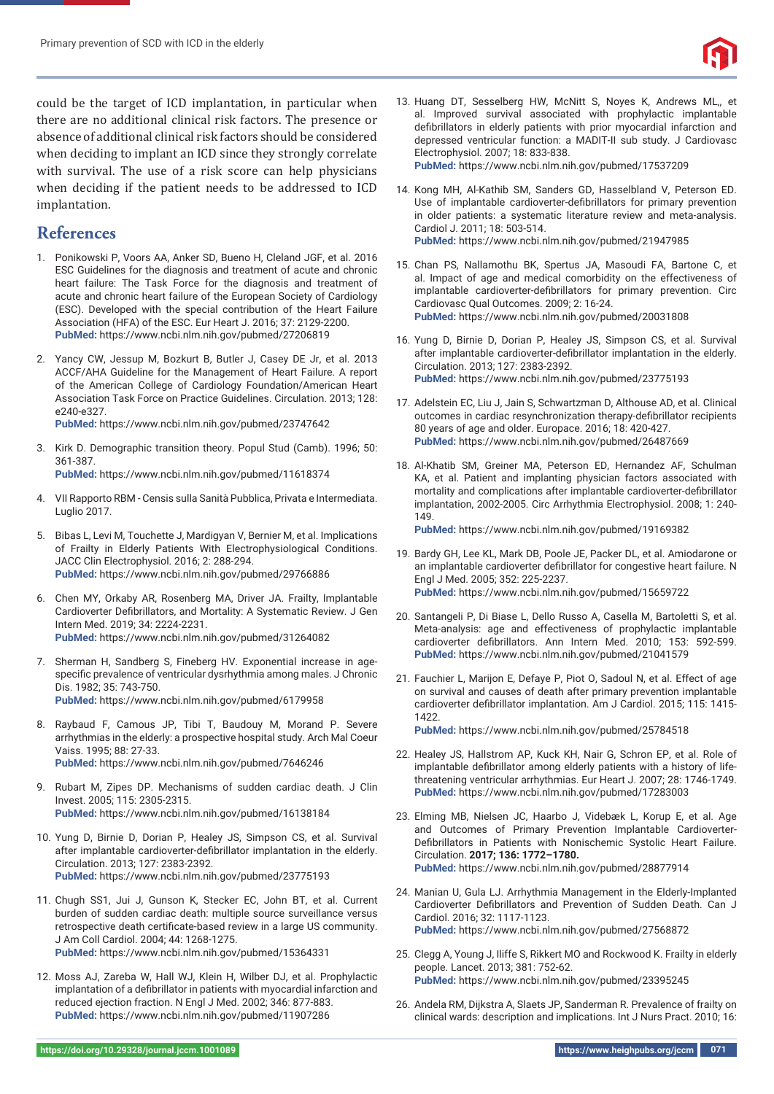

could be the target of ICD implantation, in particular when there are no additional clinical risk factors. The presence or absence of additional clinical risk factors should be considered when deciding to implant an ICD since they strongly correlate with survival. The use of a risk score can help physicians when deciding if the patient needs to be addressed to ICD implantation.

# **References**

- 1. Ponikowski P, Voors AA, Anker SD, Bueno H, Cleland JGF, et al. 2016 ESC Guidelines for the diagnosis and treatment of acute and chronic heart failure: The Task Force for the diagnosis and treatment of acute and chronic heart failure of the European Society of Cardiology (ESC). Developed with the special contribution of the Heart Failure Association (HFA) of the ESC. Eur Heart J. 2016; 37: 2129-2200. **PubMed:** https://www.ncbi.nlm.nih.gov/pubmed/27206819
- 2. Yancy CW, Jessup M, Bozkurt B, Butler J, Casey DE Jr, et al. 2013 ACCF/AHA Guideline for the Management of Heart Failure. A report of the American College of Cardiology Foundation/American Heart Association Task Force on Practice Guidelines. Circulation. 2013; 128: e240-e327.

**PubMed:** https://www.ncbi.nlm.nih.gov/pubmed/23747642

3. Kirk D. Demographic transition theory. Popul Stud (Camb). 1996; 50: 361-387.

**PubMed:** https://www.ncbi.nlm.nih.gov/pubmed/11618374

- 4. VII Rapporto RBM Censis sulla Sanità Pubblica, Privata e Intermediata. Luglio 2017.
- 5. Bibas L, Levi M, Touchette J, Mardigyan V, Bernier M, et al. Implications of Frailty in Elderly Patients With Electrophysiological Conditions. JACC Clin Electrophysiol. 2016; 2: 288-294. **PubMed:** https://www.ncbi.nlm.nih.gov/pubmed/29766886
- 6. Chen MY, Orkaby AR, Rosenberg MA, Driver JA. Frailty, Implantable Cardioverter Defibrillators, and Mortality: A Systematic Review. J Gen Intern Med. 2019; 34: 2224-2231. **PubMed:** https://www.ncbi.nlm.nih.gov/pubmed/31264082
- 7. Sherman H, Sandberg S, Fineberg HV. Exponential increase in agespecific prevalence of ventricular dysrhythmia among males. J Chronic Dis. 1982; 35: 743-750. **PubMed:** https://www.ncbi.nlm.nih.gov/pubmed/6179958
- 8. Raybaud F, Camous JP, Tibi T, Baudouy M, Morand P. Severe arrhythmias in the elderly: a prospective hospital study. Arch Mal Coeur Vaiss. 1995; 88: 27-33. **PubMed:** https://www.ncbi.nlm.nih.gov/pubmed/7646246
- 9. Rubart M, Zipes DP. Mechanisms of sudden cardiac death. J Clin Invest. 2005; 115: 2305-2315. **PubMed:** https://www.ncbi.nlm.nih.gov/pubmed/16138184
- 10. Yung D, Birnie D, Dorian P, Healey JS, Simpson CS, et al. Survival after implantable cardioverter-defibrillator implantation in the elderly. Circulation. 2013; 127: 2383-2392. **PubMed:** https://www.ncbi.nlm.nih.gov/pubmed/23775193
- 11. Chugh SS1, Jui J, Gunson K, Stecker EC, John BT, et al. Current burden of sudden cardiac death: multiple source surveillance versus retrospective death certificate-based review in a large US community. J Am Coll Cardiol. 2004; 44: 1268-1275. **PubMed:** https://www.ncbi.nlm.nih.gov/pubmed/15364331
- 12. Moss AJ, Zareba W, Hall WJ, Klein H, Wilber DJ, et al. Prophylactic implantation of a defibrillator in patients with myocardial infarction and reduced ejection fraction. N Engl J Med. 2002; 346: 877-883. **PubMed:** https://www.ncbi.nlm.nih.gov/pubmed/11907286

13. Huang DT, Sesselberg HW, McNitt S, Noyes K, Andrews ML,, et al. Improved survival associated with prophylactic implantable defibrillators in elderly patients with prior myocardial infarction and depressed ventricular function: a MADIT-II sub study. J Cardiovasc Electrophysiol. 2007; 18: 833-838.

**PubMed:** https://www.ncbi.nlm.nih.gov/pubmed/17537209

- 14. Kong MH, Al-Kathib SM, Sanders GD, Hasselbland V, Peterson ED. Use of implantable cardioverter-defibrillators for primary prevention in older patients: a systematic literature review and meta-analysis. Cardiol J. 2011; 18: 503-514. **PubMed:** https://www.ncbi.nlm.nih.gov/pubmed/21947985
- 15. Chan PS, Nallamothu BK, Spertus JA, Masoudi FA, Bartone C, et al. Impact of age and medical comorbidity on the effectiveness of implantable cardioverter-defibrillators for primary prevention. Circ Cardiovasc Qual Outcomes. 2009; 2: 16-24. **PubMed:** https://www.ncbi.nlm.nih.gov/pubmed/20031808
- 16. Yung D, Birnie D, Dorian P, Healey JS, Simpson CS, et al. Survival after implantable cardioverter-defibrillator implantation in the elderly. Circulation. 2013; 127: 2383-2392. **PubMed:** https://www.ncbi.nlm.nih.gov/pubmed/23775193
- 17. Adelstein EC, Liu J, Jain S, Schwartzman D, Althouse AD, et al. Clinical outcomes in cardiac resynchronization therapy-defibrillator recipients 80 years of age and older. Europace. 2016; 18: 420-427. **PubMed:** https://www.ncbi.nlm.nih.gov/pubmed/26487669
- 18. Al-Khatib SM, Greiner MA, Peterson ED, Hernandez AF, Schulman KA, et al. Patient and implanting physician factors associated with mortality and complications after implantable cardioverter-defibrillator implantation, 2002-2005. Circ Arrhythmia Electrophysiol. 2008; 1: 240- 149.

**PubMed:** https://www.ncbi.nlm.nih.gov/pubmed/19169382

- 19. Bardy GH, Lee KL, Mark DB, Poole JE, Packer DL, et al. Amiodarone or an implantable cardioverter defibrillator for congestive heart failure. N Engl J Med. 2005; 352: 225-2237. **PubMed:** https://www.ncbi.nlm.nih.gov/pubmed/15659722
- 20. Santangeli P, Di Biase L, Dello Russo A, Casella M, Bartoletti S, et al. Meta-analysis: age and effectiveness of prophylactic implantable cardioverter defibrillators. Ann Intern Med. 2010; 153: 592-599. **PubMed:** https://www.ncbi.nlm.nih.gov/pubmed/21041579
- 21. Fauchier L, Marijon E, Defaye P, Piot O, Sadoul N, et al. Effect of age on survival and causes of death after primary prevention implantable cardioverter defibrillator implantation. Am J Cardiol. 2015; 115: 1415-1422.

**PubMed:** https://www.ncbi.nlm.nih.gov/pubmed/25784518

- 22. Healey JS, Hallstrom AP, Kuck KH, Nair G, Schron EP, et al. Role of implantable defibrillator among elderly patients with a history of lifethreatening ventricular arrhythmias. Eur Heart J. 2007; 28: 1746-1749. **PubMed:** https://www.ncbi.nlm.nih.gov/pubmed/17283003
- 23. Elming MB, Nielsen JC, Haarbo J, Videbæk L, Korup E, et al. Age and Outcomes of Primary Prevention Implantable Cardioverter-Defibrillators in Patients with Nonischemic Systolic Heart Failure. Circulation. **2017; 136: 1772–1780. PubMed:** https://www.ncbi.nlm.nih.gov/pubmed/28877914
- 24. Manian U, Gula LJ. Arrhythmia Management in the Elderly-Implanted Cardioverter Defibrillators and Prevention of Sudden Death. Can J Cardiol. 2016; 32: 1117-1123. **PubMed:** https://www.ncbi.nlm.nih.gov/pubmed/27568872
- 25. Clegg A, Young J, Iliffe S, Rikkert MO and Rockwood K. Frailty in elderly people. Lancet. 2013; 381: 752-62. **PubMed:** https://www.ncbi.nlm.nih.gov/pubmed/23395245
- 26. Andela RM, Dijkstra A, Slaets JP, Sanderman R. Prevalence of frailty on clinical wards: description and implications. Int J Nurs Pract. 2010; 16: